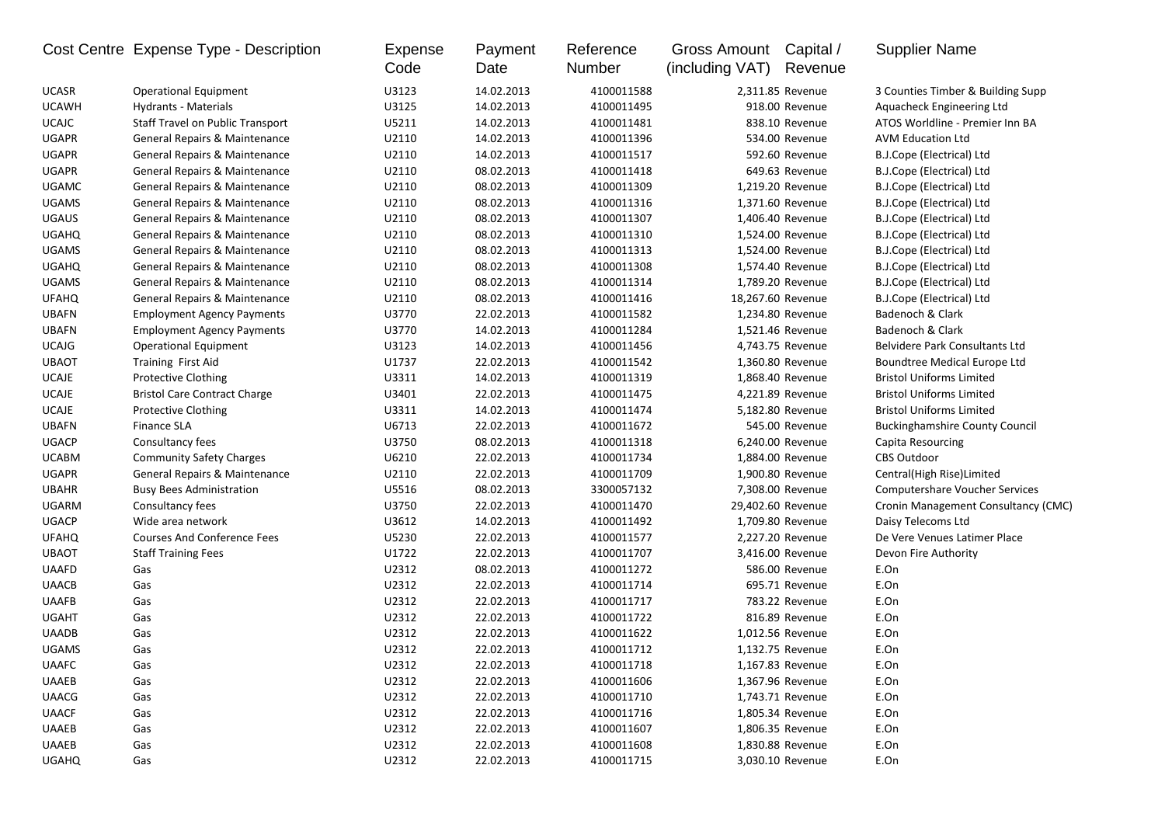|              | Cost Centre Expense Type - Description  | Expense<br>Code | Payment<br>Date | Reference<br>Number | Gross Amount<br>(including VAT) | Capital /<br>Revenue | <b>Supplier Name</b>                  |
|--------------|-----------------------------------------|-----------------|-----------------|---------------------|---------------------------------|----------------------|---------------------------------------|
| <b>UCASR</b> | <b>Operational Equipment</b>            | U3123           | 14.02.2013      | 4100011588          |                                 | 2,311.85 Revenue     | 3 Counties Timber & Building Supp     |
| <b>UCAWH</b> | Hydrants - Materials                    | U3125           | 14.02.2013      | 4100011495          |                                 | 918.00 Revenue       | Aquacheck Engineering Ltd             |
| <b>UCAJC</b> | <b>Staff Travel on Public Transport</b> | U5211           | 14.02.2013      | 4100011481          |                                 | 838.10 Revenue       | ATOS Worldline - Premier Inn BA       |
| <b>UGAPR</b> | General Repairs & Maintenance           | U2110           | 14.02.2013      | 4100011396          |                                 | 534.00 Revenue       | <b>AVM Education Ltd</b>              |
| <b>UGAPR</b> | General Repairs & Maintenance           | U2110           | 14.02.2013      | 4100011517          |                                 | 592.60 Revenue       | B.J.Cope (Electrical) Ltd             |
| <b>UGAPR</b> | General Repairs & Maintenance           | U2110           | 08.02.2013      | 4100011418          |                                 | 649.63 Revenue       | B.J.Cope (Electrical) Ltd             |
| <b>UGAMC</b> | General Repairs & Maintenance           | U2110           | 08.02.2013      | 4100011309          |                                 | 1,219.20 Revenue     | B.J.Cope (Electrical) Ltd             |
| <b>UGAMS</b> | General Repairs & Maintenance           | U2110           | 08.02.2013      | 4100011316          |                                 | 1,371.60 Revenue     | B.J.Cope (Electrical) Ltd             |
| <b>UGAUS</b> | General Repairs & Maintenance           | U2110           | 08.02.2013      | 4100011307          |                                 | 1,406.40 Revenue     | B.J.Cope (Electrical) Ltd             |
| <b>UGAHQ</b> | General Repairs & Maintenance           | U2110           | 08.02.2013      | 4100011310          |                                 | 1,524.00 Revenue     | B.J.Cope (Electrical) Ltd             |
| <b>UGAMS</b> | General Repairs & Maintenance           | U2110           | 08.02.2013      | 4100011313          |                                 | 1,524.00 Revenue     | B.J.Cope (Electrical) Ltd             |
| <b>UGAHQ</b> | General Repairs & Maintenance           | U2110           | 08.02.2013      | 4100011308          |                                 | 1,574.40 Revenue     | B.J.Cope (Electrical) Ltd             |
| <b>UGAMS</b> | General Repairs & Maintenance           | U2110           | 08.02.2013      | 4100011314          |                                 | 1,789.20 Revenue     | B.J.Cope (Electrical) Ltd             |
| <b>UFAHQ</b> | General Repairs & Maintenance           | U2110           | 08.02.2013      | 4100011416          | 18,267.60 Revenue               |                      | B.J.Cope (Electrical) Ltd             |
| <b>UBAFN</b> | <b>Employment Agency Payments</b>       | U3770           | 22.02.2013      | 4100011582          |                                 | 1,234.80 Revenue     | Badenoch & Clark                      |
| <b>UBAFN</b> | <b>Employment Agency Payments</b>       | U3770           | 14.02.2013      | 4100011284          |                                 | 1,521.46 Revenue     | Badenoch & Clark                      |
| <b>UCAJG</b> | <b>Operational Equipment</b>            | U3123           | 14.02.2013      | 4100011456          |                                 | 4,743.75 Revenue     | Belvidere Park Consultants Ltd        |
| <b>UBAOT</b> | Training First Aid                      | U1737           | 22.02.2013      | 4100011542          |                                 | 1,360.80 Revenue     | Boundtree Medical Europe Ltd          |
| <b>UCAJE</b> | Protective Clothing                     | U3311           | 14.02.2013      | 4100011319          |                                 | 1,868.40 Revenue     | <b>Bristol Uniforms Limited</b>       |
| <b>UCAJE</b> | <b>Bristol Care Contract Charge</b>     | U3401           | 22.02.2013      | 4100011475          |                                 | 4,221.89 Revenue     | <b>Bristol Uniforms Limited</b>       |
| <b>UCAJE</b> | Protective Clothing                     | U3311           | 14.02.2013      | 4100011474          |                                 | 5,182.80 Revenue     | <b>Bristol Uniforms Limited</b>       |
| <b>UBAFN</b> | <b>Finance SLA</b>                      | U6713           | 22.02.2013      | 4100011672          |                                 | 545.00 Revenue       | <b>Buckinghamshire County Council</b> |
| <b>UGACP</b> | Consultancy fees                        | U3750           | 08.02.2013      | 4100011318          |                                 | 6,240.00 Revenue     | Capita Resourcing                     |
| <b>UCABM</b> | <b>Community Safety Charges</b>         | U6210           | 22.02.2013      | 4100011734          |                                 | 1,884.00 Revenue     | <b>CBS Outdoor</b>                    |
| <b>UGAPR</b> | General Repairs & Maintenance           | U2110           | 22.02.2013      | 4100011709          |                                 | 1,900.80 Revenue     | Central(High Rise)Limited             |
| <b>UBAHR</b> | <b>Busy Bees Administration</b>         | U5516           | 08.02.2013      | 3300057132          |                                 | 7,308.00 Revenue     | <b>Computershare Voucher Services</b> |
| <b>UGARM</b> | Consultancy fees                        | U3750           | 22.02.2013      | 4100011470          |                                 | 29,402.60 Revenue    | Cronin Management Consultancy (CMC)   |
| <b>UGACP</b> | Wide area network                       | U3612           | 14.02.2013      | 4100011492          |                                 | 1,709.80 Revenue     | Daisy Telecoms Ltd                    |
| <b>UFAHQ</b> | <b>Courses And Conference Fees</b>      | U5230           | 22.02.2013      | 4100011577          |                                 | 2,227.20 Revenue     | De Vere Venues Latimer Place          |
| <b>UBAOT</b> | <b>Staff Training Fees</b>              | U1722           | 22.02.2013      | 4100011707          |                                 | 3,416.00 Revenue     | Devon Fire Authority                  |
| <b>UAAFD</b> | Gas                                     | U2312           | 08.02.2013      | 4100011272          |                                 | 586.00 Revenue       | E.On                                  |
| <b>UAACB</b> | Gas                                     | U2312           | 22.02.2013      | 4100011714          |                                 | 695.71 Revenue       | E.On                                  |
| <b>UAAFB</b> | Gas                                     | U2312           | 22.02.2013      | 4100011717          |                                 | 783.22 Revenue       | E.On                                  |
| <b>UGAHT</b> | Gas                                     | U2312           | 22.02.2013      | 4100011722          |                                 | 816.89 Revenue       | E.On                                  |
| <b>UAADB</b> | Gas                                     | U2312           | 22.02.2013      | 4100011622          |                                 | 1,012.56 Revenue     | E.On                                  |
| <b>UGAMS</b> | Gas                                     | U2312           | 22.02.2013      | 4100011712          |                                 | 1,132.75 Revenue     | E.On                                  |
| <b>UAAFC</b> | Gas                                     | U2312           | 22.02.2013      | 4100011718          |                                 | 1,167.83 Revenue     | E.On                                  |
| <b>UAAEB</b> | Gas                                     | U2312           | 22.02.2013      | 4100011606          |                                 | 1,367.96 Revenue     | E.On                                  |
| <b>UAACG</b> | Gas                                     | U2312           | 22.02.2013      | 4100011710          |                                 | 1,743.71 Revenue     | E.On                                  |
| <b>UAACF</b> | Gas                                     | U2312           | 22.02.2013      | 4100011716          |                                 | 1,805.34 Revenue     | E.On                                  |
| <b>UAAEB</b> | Gas                                     | U2312           | 22.02.2013      | 4100011607          |                                 | 1,806.35 Revenue     | E.On                                  |
| <b>UAAEB</b> | Gas                                     | U2312           | 22.02.2013      | 4100011608          |                                 | 1,830.88 Revenue     | E.On                                  |
| <b>UGAHQ</b> | Gas                                     | U2312           | 22.02.2013      | 4100011715          |                                 | 3,030.10 Revenue     | E.On                                  |
|              |                                         |                 |                 |                     |                                 |                      |                                       |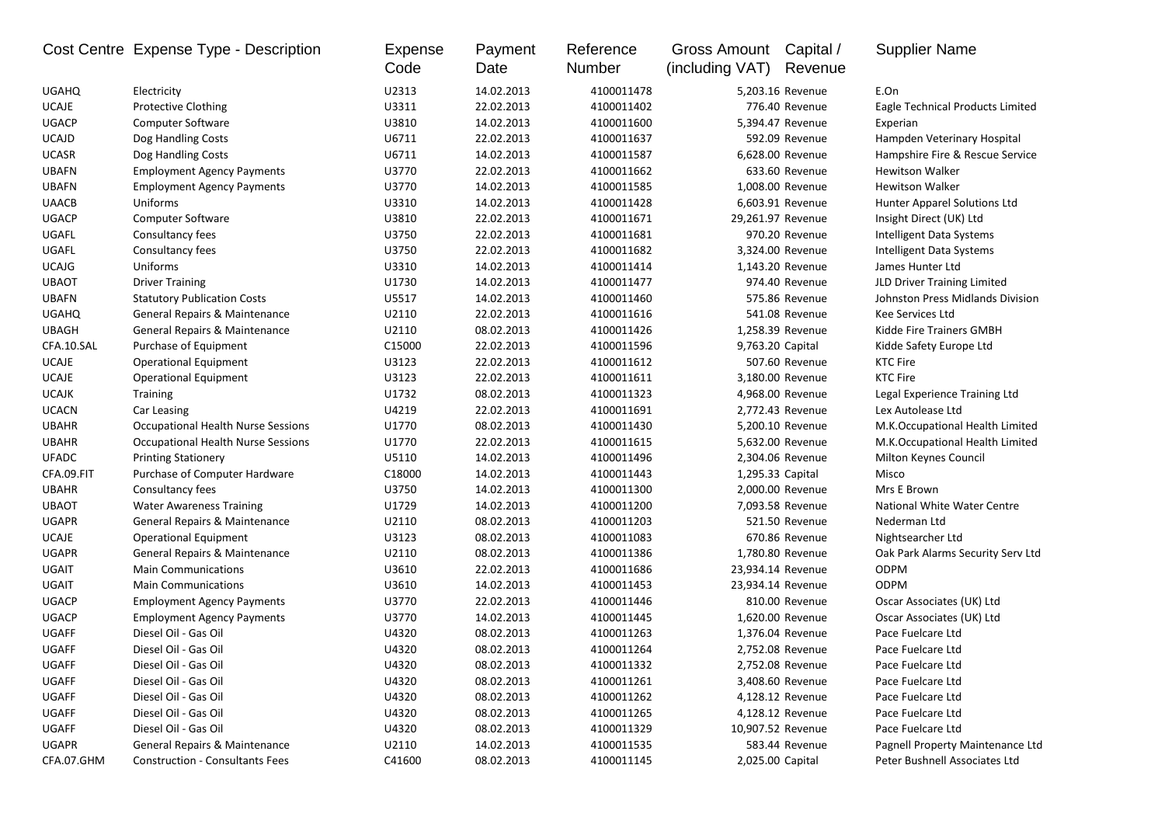|              | Cost Centre Expense Type - Description | Expense<br>Code | Payment<br>Date | Reference<br>Number | Gross Amount Capital /<br>(including VAT) | Revenue           | <b>Supplier Name</b>              |
|--------------|----------------------------------------|-----------------|-----------------|---------------------|-------------------------------------------|-------------------|-----------------------------------|
| <b>UGAHQ</b> | Electricity                            | U2313           | 14.02.2013      | 4100011478          |                                           | 5,203.16 Revenue  | E.On                              |
| <b>UCAJE</b> | <b>Protective Clothing</b>             | U3311           | 22.02.2013      | 4100011402          |                                           | 776.40 Revenue    | Eagle Technical Products Limited  |
| <b>UGACP</b> | <b>Computer Software</b>               | U3810           | 14.02.2013      | 4100011600          |                                           | 5,394.47 Revenue  | Experian                          |
| <b>UCAJD</b> | Dog Handling Costs                     | U6711           | 22.02.2013      | 4100011637          |                                           | 592.09 Revenue    | Hampden Veterinary Hospital       |
| <b>UCASR</b> | Dog Handling Costs                     | U6711           | 14.02.2013      | 4100011587          |                                           | 6,628.00 Revenue  | Hampshire Fire & Rescue Service   |
| <b>UBAFN</b> | <b>Employment Agency Payments</b>      | U3770           | 22.02.2013      | 4100011662          |                                           | 633.60 Revenue    | <b>Hewitson Walker</b>            |
| <b>UBAFN</b> | <b>Employment Agency Payments</b>      | U3770           | 14.02.2013      | 4100011585          |                                           | 1,008.00 Revenue  | <b>Hewitson Walker</b>            |
| <b>UAACB</b> | Uniforms                               | U3310           | 14.02.2013      | 4100011428          |                                           | 6,603.91 Revenue  | Hunter Apparel Solutions Ltd      |
| <b>UGACP</b> | Computer Software                      | U3810           | 22.02.2013      | 4100011671          |                                           | 29,261.97 Revenue | Insight Direct (UK) Ltd           |
| UGAFL        | Consultancy fees                       | U3750           | 22.02.2013      | 4100011681          |                                           | 970.20 Revenue    | Intelligent Data Systems          |
| UGAFL        | Consultancy fees                       | U3750           | 22.02.2013      | 4100011682          |                                           | 3,324.00 Revenue  | Intelligent Data Systems          |
| <b>UCAJG</b> | Uniforms                               | U3310           | 14.02.2013      | 4100011414          |                                           | 1,143.20 Revenue  | James Hunter Ltd                  |
| <b>UBAOT</b> | <b>Driver Training</b>                 | U1730           | 14.02.2013      | 4100011477          |                                           | 974.40 Revenue    | JLD Driver Training Limited       |
| <b>UBAFN</b> | <b>Statutory Publication Costs</b>     | U5517           | 14.02.2013      | 4100011460          |                                           | 575.86 Revenue    | Johnston Press Midlands Division  |
| <b>UGAHQ</b> | General Repairs & Maintenance          | U2110           | 22.02.2013      | 4100011616          |                                           | 541.08 Revenue    | Kee Services Ltd                  |
| <b>UBAGH</b> | General Repairs & Maintenance          | U2110           | 08.02.2013      | 4100011426          |                                           | 1,258.39 Revenue  | Kidde Fire Trainers GMBH          |
| CFA.10.SAL   | Purchase of Equipment                  | C15000          | 22.02.2013      | 4100011596          | 9,763.20 Capital                          |                   | Kidde Safety Europe Ltd           |
| <b>UCAJE</b> | <b>Operational Equipment</b>           | U3123           | 22.02.2013      | 4100011612          |                                           | 507.60 Revenue    | KTC Fire                          |
| <b>UCAJE</b> | <b>Operational Equipment</b>           | U3123           | 22.02.2013      | 4100011611          |                                           | 3,180.00 Revenue  | <b>KTC Fire</b>                   |
| <b>UCAJK</b> | <b>Training</b>                        | U1732           | 08.02.2013      | 4100011323          |                                           | 4,968.00 Revenue  | Legal Experience Training Ltd     |
| <b>UCACN</b> | Car Leasing                            | U4219           | 22.02.2013      | 4100011691          |                                           | 2,772.43 Revenue  | Lex Autolease Ltd                 |
| <b>UBAHR</b> | Occupational Health Nurse Sessions     | U1770           | 08.02.2013      | 4100011430          |                                           | 5,200.10 Revenue  | M.K.Occupational Health Limited   |
| <b>UBAHR</b> | Occupational Health Nurse Sessions     | U1770           | 22.02.2013      | 4100011615          |                                           | 5,632.00 Revenue  | M.K.Occupational Health Limited   |
| <b>UFADC</b> | <b>Printing Stationery</b>             | U5110           | 14.02.2013      | 4100011496          |                                           | 2,304.06 Revenue  | Milton Keynes Council             |
| CFA.09.FIT   | Purchase of Computer Hardware          | C18000          | 14.02.2013      | 4100011443          | 1,295.33 Capital                          |                   | Misco                             |
| <b>UBAHR</b> | Consultancy fees                       | U3750           | 14.02.2013      | 4100011300          |                                           | 2,000.00 Revenue  | Mrs E Brown                       |
| <b>UBAOT</b> | <b>Water Awareness Training</b>        | U1729           | 14.02.2013      | 4100011200          |                                           | 7,093.58 Revenue  | National White Water Centre       |
| <b>UGAPR</b> | General Repairs & Maintenance          | U2110           | 08.02.2013      | 4100011203          |                                           | 521.50 Revenue    | Nederman Ltd                      |
| <b>UCAJE</b> | <b>Operational Equipment</b>           | U3123           | 08.02.2013      | 4100011083          |                                           | 670.86 Revenue    | Nightsearcher Ltd                 |
| <b>UGAPR</b> | General Repairs & Maintenance          | U2110           | 08.02.2013      | 4100011386          |                                           | 1,780.80 Revenue  | Oak Park Alarms Security Serv Ltd |
| UGAIT        | <b>Main Communications</b>             | U3610           | 22.02.2013      | 4100011686          |                                           | 23,934.14 Revenue | <b>ODPM</b>                       |
| UGAIT        | <b>Main Communications</b>             | U3610           | 14.02.2013      | 4100011453          |                                           | 23,934.14 Revenue | <b>ODPM</b>                       |
| <b>UGACP</b> | <b>Employment Agency Payments</b>      | U3770           | 22.02.2013      | 4100011446          |                                           | 810.00 Revenue    | Oscar Associates (UK) Ltd         |
| <b>UGACP</b> | <b>Employment Agency Payments</b>      | U3770           | 14.02.2013      | 4100011445          |                                           | 1,620.00 Revenue  | Oscar Associates (UK) Ltd         |
| UGAFF        | Diesel Oil - Gas Oil                   | U4320           | 08.02.2013      | 4100011263          |                                           | 1,376.04 Revenue  | Pace Fuelcare Ltd                 |
| UGAFF        | Diesel Oil - Gas Oil                   | U4320           | 08.02.2013      | 4100011264          |                                           | 2.752.08 Revenue  | Pace Fuelcare Ltd                 |
| UGAFF        | Diesel Oil - Gas Oil                   | U4320           | 08.02.2013      | 4100011332          |                                           | 2,752.08 Revenue  | Pace Fuelcare Ltd                 |
| UGAFF        | Diesel Oil - Gas Oil                   | U4320           | 08.02.2013      | 4100011261          |                                           | 3,408.60 Revenue  | Pace Fuelcare Ltd                 |
| UGAFF        | Diesel Oil - Gas Oil                   | U4320           | 08.02.2013      | 4100011262          |                                           | 4,128.12 Revenue  | Pace Fuelcare Ltd                 |
| UGAFF        | Diesel Oil - Gas Oil                   | U4320           | 08.02.2013      | 4100011265          |                                           | 4,128.12 Revenue  | Pace Fuelcare Ltd                 |
| UGAFF        | Diesel Oil - Gas Oil                   | U4320           | 08.02.2013      | 4100011329          |                                           | 10,907.52 Revenue | Pace Fuelcare Ltd                 |
| <b>UGAPR</b> | General Repairs & Maintenance          | U2110           | 14.02.2013      | 4100011535          |                                           | 583.44 Revenue    | Pagnell Property Maintenance Ltd  |
| CFA.07.GHM   | <b>Construction - Consultants Fees</b> | C41600          | 08.02.2013      | 4100011145          | 2,025.00 Capital                          |                   | Peter Bushnell Associates Ltd     |